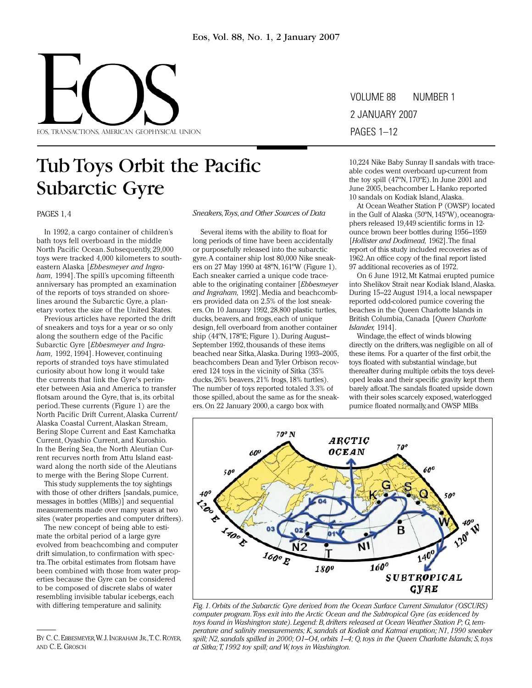

Volume 88 number 1 2 January 2007 pages 1–12

# Tub Toys Orbit the Pacific Subarctic Gyre

PAGeS 1, 4

In 1992, a cargo container of children's bath toys fell overboard in the middle North Pacific Ocean. Subsequently, 29,000 toys were tracked 4,000 kilometers to southeastern Alaska [*Ebbesmeyer and Ingraham,* 1994]. The spill's upcoming fifteenth anniversary has prompted an examination of the reports of toys stranded on shorelines around the Subarctic Gyre, a planetary vortex the size of the United States.

Previous articles have reported the drift of sneakers and toys for a year or so only along the southern edge of the Pacific Subarctic Gyre [*Ebbesmeyer and Ingraham,* 1992, 1994]. However, continuing reports of stranded toys have stimulated curiosity about how long it would take the currents that link the Gyre's perimeter between Asia and America to transfer flotsam around the Gyre, that is, its orbital period. These currents (Figure 1) are the North Pacific Drift Current, Alaska Current/ Alaska Coastal Current, Alaskan Stream, Bering Slope Current and East Kamchatka Current, Oyashio Current, and Kuroshio. In the Bering Sea, the North Aleutian Current recurves north from Attu Island eastward along the north side of the Aleutians to merge with the Bering Slope Current.

This study supplements the toy sightings with those of other drifters [sandals, pumice, messages in bottles (MIBs)] and sequential measurements made over many years at two sites (water properties and computer drifters).

The new concept of being able to estimate the orbital period of a large gyre evolved from beachcombing and computer drift simulation, to confirmation with spectra. The orbital estimates from flotsam have been combined with those from water properties because the Gyre can be considered to be composed of discrete slabs of water resembling invisible tabular icebergs, each with differing temperature and salinity.

*Sneakers, Toys, and Other Sources of Data*

Several items with the ability to float for long periods of time have been accidentally or purposefully released into the subarctic gyre. A container ship lost 80,000 Nike sneakers on 27 May 1990 at 48ºN, 161ºW (Figure 1). Each sneaker carried a unique code traceable to the originating container [*Ebbesmeyer and Ingraham,* 1992]. Media and beachcombers provided data on 2.5% of the lost sneakers. On 10 January 1992, 28,800 plastic turtles, ducks, beavers, and frogs, each of unique design, fell overboard from another container ship (44ºN, 178ºE; Figure 1). During August– September 1992, thousands of these items beached near Sitka, Alaska. During 1993–2005, beachcombers Dean and Tyler Orbison recovered 124 toys in the vicinity of Sitka (35% ducks, 26% beavers, 21% frogs, 18% turtles). The number of toys reported totaled 3.3% of those spilled, about the same as for the sneakers. On 22 January 2000, a cargo box with

10,224 Nike Baby Sunray II sandals with traceable codes went overboard up-current from the toy spill (47ºN, 170ºE). In June 2001 and June 2005, beachcomber L. Hanko reported 10 sandals on Kodiak Island, Alaska.

At Ocean Weather Station P (OWSP) located in the Gulf of Alaska (50ºN, 145ºW), oceanographers released 19,449 scientific forms in 12 ounce brown beer bottles during 1956–1959 [*Hollister and Dodimead,* 1962]. The final report of this study included recoveries as of 1962. An office copy of the final report listed 97 additional recoveries as of 1972.

On 6 June 1912, Mt Katmai erupted pumice into Shelikov Strait near Kodiak Island, Alaska. During 15–22 August 1914, a local newspaper reported odd-colored pumice covering the beaches in the Queen Charlotte Islands in British Columbia, Canada [*Queen Charlotte Islander,* 1914].

Windage, the effect of winds blowing directly on the drifters, was negligible on all of these items. For a quarter of the first orbit, the toys floated with substantial windage, but thereafter during multiple orbits the toys developed leaks and their specific gravity kept them barely afloat. The sandals floated upside down with their soles scarcely exposed, waterlogged pumice floated normally, and OWSP MIBs



*Fig. 1. Orbits of the Subarctic Gyre derived from the Ocean Surface Current Simulator (OSCURS) computer program. Toys exit into the Arctic Ocean and the Subtropical Gyre (as evidenced by toys found in Washington state). Legend: B, drifters released at Ocean Weather Station P; G, temperature and salinity measurements; K, sandals at Kodiak and Katmai eruption; N1, 1990 sneaker spill; N2, sandals spilled in 2000; O1–O4, orbits 1–4; Q, toys in the Queen Charlotte Islands; S, toys at Sitka; T, 1992 toy spill; and W, toys in Washington.* 

BY C. C. EBBESMEYER, W. J. INGRAHAM JR. T. C. ROYER, and C. E. Grosch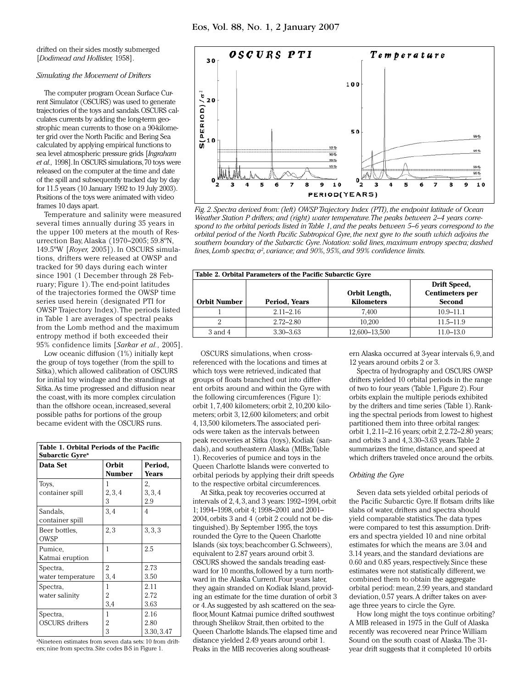drifted on their sides mostly submerged [*Dodimead and Hollister,* 1958].

# *Simulating the Movement of Drifters*

The computer program Ocean Surface Current Simulator (OSCURS) was used to generate trajectories of the toys and sandals. OSCURS calculates currents by adding the long-term geostrophic mean currents to those on a 90-kilometer grid over the North Pacific and Bering Sea calculated by applying empirical functions to sea level atmospheric pressure grids [*Ingraham et al.,* 1998]. In OSCURS simulations, 70 toys were released on the computer at the time and date of the spill and subsequently tracked day by day for 11.5 years (10 January 1992 to 19 July 2003). Positions of the toys were animated with video frames 10 days apart.

Temperature and salinity were measured several times annually during 35 years in the upper 100 meters at the mouth of Resurrection Bay, Alaska (1970–2005; 59.8ºN, 149.5ºW [*Royer,* 2005]). In OSCURS simulations, drifters were released at OWSP and tracked for 90 days during each winter since 1901 (1 December through 28 February; Figure 1). The end-point latitudes of the trajectories formed the OWSP time series used herein (designated PTI for OWSP Trajectory Index). The periods listed in Table 1 are averages of spectral peaks from the Lomb method and the maximum entropy method if both exceeded their 95% confidence limits [*Sarkar et al.,* 2005].

Low oceanic diffusion (1%) initially kept the group of toys together (from the spill to Sitka), which allowed calibration of OSCURS for initial toy windage and the strandings at Sitka. As time progressed and diffusion near the coast, with its more complex circulation than the offshore ocean, increased, several possible paths for portions of the group became evident with the OSCURS runs.

| Table 1. Orbital Periods of the Pacific<br>Subarctic Gyre <sup>a</sup> |                 |                            |  |
|------------------------------------------------------------------------|-----------------|----------------------------|--|
| Data Set                                                               | Orbit<br>Number | Period,<br><b>Years</b>    |  |
| Toys,<br>container spill                                               | 2, 3, 4<br>3    | 2,<br>3, 3, 4<br>2.9       |  |
| Sandals,<br>container spill                                            | 3,4             | 4                          |  |
| Beer bottles,<br>OWSP                                                  | 2,3             | 3, 3, 3                    |  |
| Pumice,<br>Katmai eruption                                             | 1               | 2.5                        |  |
| Spectra,<br>water temperature                                          | 2<br>3,4        | 2.73<br>3.50               |  |
| Spectra,<br>water salinity                                             | 1<br>2<br>3,4   | 2.11<br>2.72<br>3.63       |  |
| Spectra,<br><b>OSCURS</b> drifters                                     | 1<br>2<br>3     | 2.16<br>2.80<br>3.30, 3.47 |  |

a Nineteen estimates from seven data sets: 10 from drifters; nine from spectra. Site codes B-S in Figure 1.



*Fig. 2. Spectra derived from: (left) OWSP Trajectory Index (PTI), the endpoint latitude of Ocean Weather Station P drifters; and (right) water temperature. The peaks between 2–4 years correspond to the orbital periods listed in Table 1, and the peaks between 5–6 years correspond to the orbital period of the North Pacific Subtropical Gyre, the next gyre to the south which adjoins the southern boundary of the Subarctic Gyre. Notation: solid lines, maximum entropy spectra; dashed*  lines, Lomb spectra; σ<sup>2</sup>, variance; and 90%, 95%, and 99% confidence limits.

| Table 2. Orbital Parameters of the Pacific Subarctic Gyre |               |                                    |                                                         |
|-----------------------------------------------------------|---------------|------------------------------------|---------------------------------------------------------|
| <b>Orbit Number</b>                                       | Period, Years | Orbit Length,<br><b>Kilometers</b> | Drift Speed,<br><b>Centimeters</b> per<br><b>Second</b> |
|                                                           | $2.11 - 2.16$ | 7.400                              | $10.9 - 11.1$                                           |
|                                                           | $2.72 - 2.80$ | 10.200                             | $11.5 - 11.9$                                           |
| 3 and 4                                                   | $3.30 - 3.63$ | 12,600-13,500                      | $11.0 - 13.0$                                           |

OSCURS simulations, when crossreferenced with the locations and times at which toys were retrieved, indicated that groups of floats branched out into different orbits around and within the Gyre with the following circumferences (Figure 1): orbit 1, 7,400 kilometers; orbit 2, 10,200 kilometers; orbit 3, 12,600 kilometers; and orbit 4, 13,500 kilometers. The associated periods were taken as the intervals between peak recoveries at Sitka (toys), Kodiak (sandals), and southeastern Alaska (MIBs; Table 1). Recoveries of pumice and toys in the Queen Charlotte Islands were converted to orbital periods by applying their drift speeds to the respective orbital circumferences.

At Sitka, peak toy recoveries occurred at intervals of 2, 4, 3, and 3 years: 1992–1994, orbit 1; 1994–1998, orbit 4; 1998–2001 and 2001– 2004, orbits 3 and 4 (orbit 2 could not be distinguished). By September 1995, the toys rounded the Gyre to the Queen Charlotte Islands (six toys; beachcomber G. Schweers), equivalent to 2.87 years around orbit 3. OSCURS showed the sandals treading eastward for 10 months, followed by a turn northward in the Alaska Current. Four years later, they again stranded on Kodiak Island, providing an estimate for the time duration of orbit 3 or 4. As suggested by ash scattered on the seafloor, Mount Katmai pumice drifted southwest through Shelikov Strait, then orbited to the Queen Charlotte Islands. The elapsed time and distance yielded 2.49 years around orbit 1. Peaks in the MIB recoveries along southeastern Alaska occurred at 3-year intervals 6, 9, and 12 years around orbits 2 or 3.

Spectra of hydrography and OSCURS OWSP drifters yielded 10 orbital periods in the range of two to four years (Table 1, Figure 2). Four orbits explain the multiple periods exhibited by the drifters and time series (Table 1). Ranking the spectral periods from lowest to highest partitioned them into three orbital ranges: orbit 1, 2.11–2.16 years; orbit 2, 2.72–2.80 years; and orbits 3 and 4, 3.30–3.63 years. Table 2 summarizes the time, distance, and speed at which drifters traveled once around the orbits.

## *Orbiting the Gyre*

Seven data sets yielded orbital periods of the Pacific Subarctic Gyre. If flotsam drifts like slabs of water, drifters and spectra should yield comparable statistics. The data types were compared to test this assumption. Drifters and spectra yielded 10 and nine orbital estimates for which the means are 3.04 and 3.14 years, and the standard deviations are 0.60 and 0.85 years, respectively. Since these estimates were not statistically different, we combined them to obtain the aggregate orbital period: mean, 2.99 years, and standard deviation, 0.57 years. A drifter takes on average three years to circle the Gyre.

How long might the toys continue orbiting? A MIB released in 1975 in the Gulf of Alaska recently was recovered near Prince William Sound on the south coast of Alaska. The 31 year drift suggests that it completed 10 orbits